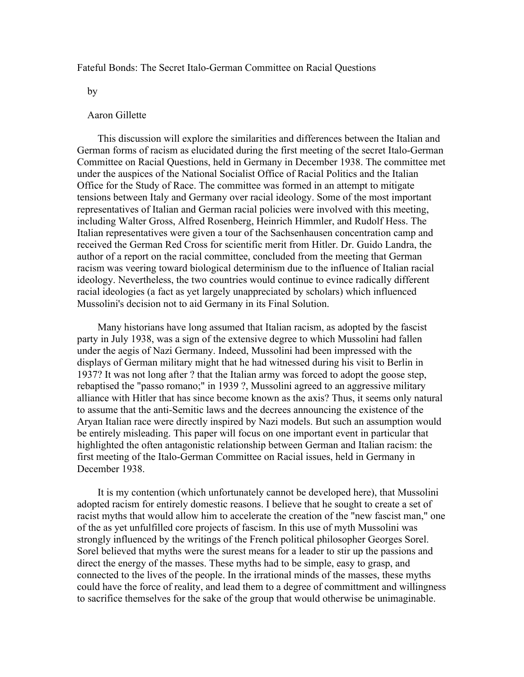## Fateful Bonds: The Secret Italo-German Committee on Racial Questions

by

## Aaron Gillette

 This discussion will explore the similarities and differences between the Italian and German forms of racism as elucidated during the first meeting of the secret Italo-German Committee on Racial Questions, held in Germany in December 1938. The committee met under the auspices of the National Socialist Office of Racial Politics and the Italian Office for the Study of Race. The committee was formed in an attempt to mitigate tensions between Italy and Germany over racial ideology. Some of the most important representatives of Italian and German racial policies were involved with this meeting, including Walter Gross, Alfred Rosenberg, Heinrich Himmler, and Rudolf Hess. The Italian representatives were given a tour of the Sachsenhausen concentration camp and received the German Red Cross for scientific merit from Hitler. Dr. Guido Landra, the author of a report on the racial committee, concluded from the meeting that German racism was veering toward biological determinism due to the influence of Italian racial ideology. Nevertheless, the two countries would continue to evince radically different racial ideologies (a fact as yet largely unappreciated by scholars) which influenced Mussolini's decision not to aid Germany in its Final Solution.

 Many historians have long assumed that Italian racism, as adopted by the fascist party in July 1938, was a sign of the extensive degree to which Mussolini had fallen under the aegis of Nazi Germany. Indeed, Mussolini had been impressed with the displays of German military might that he had witnessed during his visit to Berlin in 1937? It was not long after ? that the Italian army was forced to adopt the goose step, rebaptised the "passo romano;" in 1939 ?, Mussolini agreed to an aggressive military alliance with Hitler that has since become known as the axis? Thus, it seems only natural to assume that the anti-Semitic laws and the decrees announcing the existence of the Aryan Italian race were directly inspired by Nazi models. But such an assumption would be entirely misleading. This paper will focus on one important event in particular that highlighted the often antagonistic relationship between German and Italian racism: the first meeting of the Italo-German Committee on Racial issues, held in Germany in December 1938.

 It is my contention (which unfortunately cannot be developed here), that Mussolini adopted racism for entirely domestic reasons. I believe that he sought to create a set of racist myths that would allow him to accelerate the creation of the "new fascist man," one of the as yet unfulfilled core projects of fascism. In this use of myth Mussolini was strongly influenced by the writings of the French political philosopher Georges Sorel. Sorel believed that myths were the surest means for a leader to stir up the passions and direct the energy of the masses. These myths had to be simple, easy to grasp, and connected to the lives of the people. In the irrational minds of the masses, these myths could have the force of reality, and lead them to a degree of committment and willingness to sacrifice themselves for the sake of the group that would otherwise be unimaginable.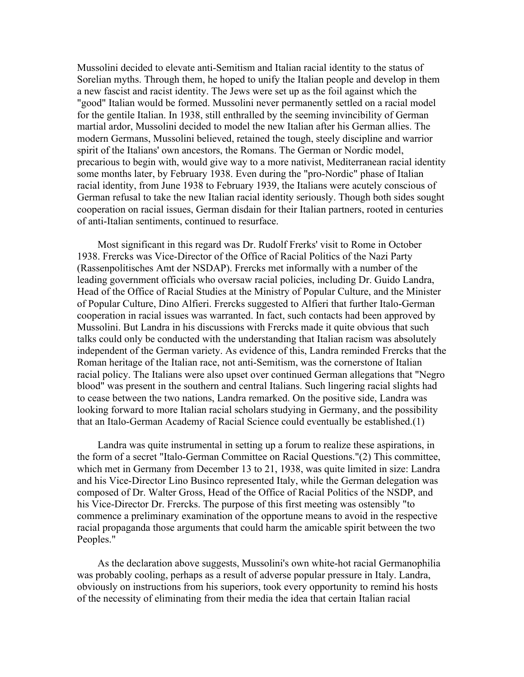Mussolini decided to elevate anti-Semitism and Italian racial identity to the status of Sorelian myths. Through them, he hoped to unify the Italian people and develop in them a new fascist and racist identity. The Jews were set up as the foil against which the "good" Italian would be formed. Mussolini never permanently settled on a racial model for the gentile Italian. In 1938, still enthralled by the seeming invincibility of German martial ardor, Mussolini decided to model the new Italian after his German allies. The modern Germans, Mussolini believed, retained the tough, steely discipline and warrior spirit of the Italians' own ancestors, the Romans. The German or Nordic model, precarious to begin with, would give way to a more nativist, Mediterranean racial identity some months later, by February 1938. Even during the "pro-Nordic" phase of Italian racial identity, from June 1938 to February 1939, the Italians were acutely conscious of German refusal to take the new Italian racial identity seriously. Though both sides sought cooperation on racial issues, German disdain for their Italian partners, rooted in centuries of anti-Italian sentiments, continued to resurface.

 Most significant in this regard was Dr. Rudolf Frerks' visit to Rome in October 1938. Frercks was Vice-Director of the Office of Racial Politics of the Nazi Party (Rassenpolitisches Amt der NSDAP). Frercks met informally with a number of the leading government officials who oversaw racial policies, including Dr. Guido Landra, Head of the Office of Racial Studies at the Ministry of Popular Culture, and the Minister of Popular Culture, Dino Alfieri. Frercks suggested to Alfieri that further Italo-German cooperation in racial issues was warranted. In fact, such contacts had been approved by Mussolini. But Landra in his discussions with Frercks made it quite obvious that such talks could only be conducted with the understanding that Italian racism was absolutely independent of the German variety. As evidence of this, Landra reminded Frercks that the Roman heritage of the Italian race, not anti-Semitism, was the cornerstone of Italian racial policy. The Italians were also upset over continued German allegations that "Negro blood" was present in the southern and central Italians. Such lingering racial slights had to cease between the two nations, Landra remarked. On the positive side, Landra was looking forward to more Italian racial scholars studying in Germany, and the possibility that an Italo-German Academy of Racial Science could eventually be established.(1)

 Landra was quite instrumental in setting up a forum to realize these aspirations, in the form of a secret "Italo-German Committee on Racial Questions."(2) This committee, which met in Germany from December 13 to 21, 1938, was quite limited in size: Landra and his Vice-Director Lino Businco represented Italy, while the German delegation was composed of Dr. Walter Gross, Head of the Office of Racial Politics of the NSDP, and his Vice-Director Dr. Frercks. The purpose of this first meeting was ostensibly "to commence a preliminary examination of the opportune means to avoid in the respective racial propaganda those arguments that could harm the amicable spirit between the two Peoples."

 As the declaration above suggests, Mussolini's own white-hot racial Germanophilia was probably cooling, perhaps as a result of adverse popular pressure in Italy. Landra, obviously on instructions from his superiors, took every opportunity to remind his hosts of the necessity of eliminating from their media the idea that certain Italian racial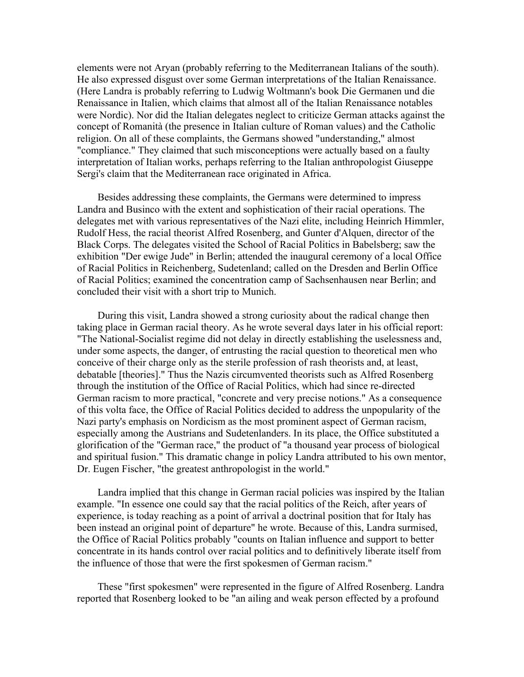elements were not Aryan (probably referring to the Mediterranean Italians of the south). He also expressed disgust over some German interpretations of the Italian Renaissance. (Here Landra is probably referring to Ludwig Woltmann's book Die Germanen und die Renaissance in Italien, which claims that almost all of the Italian Renaissance notables were Nordic). Nor did the Italian delegates neglect to criticize German attacks against the concept of Romanità (the presence in Italian culture of Roman values) and the Catholic religion. On all of these complaints, the Germans showed "understanding," almost "compliance." They claimed that such misconceptions were actually based on a faulty interpretation of Italian works, perhaps referring to the Italian anthropologist Giuseppe Sergi's claim that the Mediterranean race originated in Africa.

 Besides addressing these complaints, the Germans were determined to impress Landra and Businco with the extent and sophistication of their racial operations. The delegates met with various representatives of the Nazi elite, including Heinrich Himmler, Rudolf Hess, the racial theorist Alfred Rosenberg, and Gunter d'Alquen, director of the Black Corps. The delegates visited the School of Racial Politics in Babelsberg; saw the exhibition "Der ewige Jude" in Berlin; attended the inaugural ceremony of a local Office of Racial Politics in Reichenberg, Sudetenland; called on the Dresden and Berlin Office of Racial Politics; examined the concentration camp of Sachsenhausen near Berlin; and concluded their visit with a short trip to Munich.

 During this visit, Landra showed a strong curiosity about the radical change then taking place in German racial theory. As he wrote several days later in his official report: "The National-Socialist regime did not delay in directly establishing the uselessness and, under some aspects, the danger, of entrusting the racial question to theoretical men who conceive of their charge only as the sterile profession of rash theorists and, at least, debatable [theories]." Thus the Nazis circumvented theorists such as Alfred Rosenberg through the institution of the Office of Racial Politics, which had since re-directed German racism to more practical, "concrete and very precise notions." As a consequence of this volta face, the Office of Racial Politics decided to address the unpopularity of the Nazi party's emphasis on Nordicism as the most prominent aspect of German racism, especially among the Austrians and Sudetenlanders. In its place, the Office substituted a glorification of the "German race," the product of "a thousand year process of biological and spiritual fusion." This dramatic change in policy Landra attributed to his own mentor, Dr. Eugen Fischer, "the greatest anthropologist in the world."

 Landra implied that this change in German racial policies was inspired by the Italian example. "In essence one could say that the racial politics of the Reich, after years of experience, is today reaching as a point of arrival a doctrinal position that for Italy has been instead an original point of departure" he wrote. Because of this, Landra surmised, the Office of Racial Politics probably "counts on Italian influence and support to better concentrate in its hands control over racial politics and to definitively liberate itself from the influence of those that were the first spokesmen of German racism."

 These "first spokesmen" were represented in the figure of Alfred Rosenberg. Landra reported that Rosenberg looked to be "an ailing and weak person effected by a profound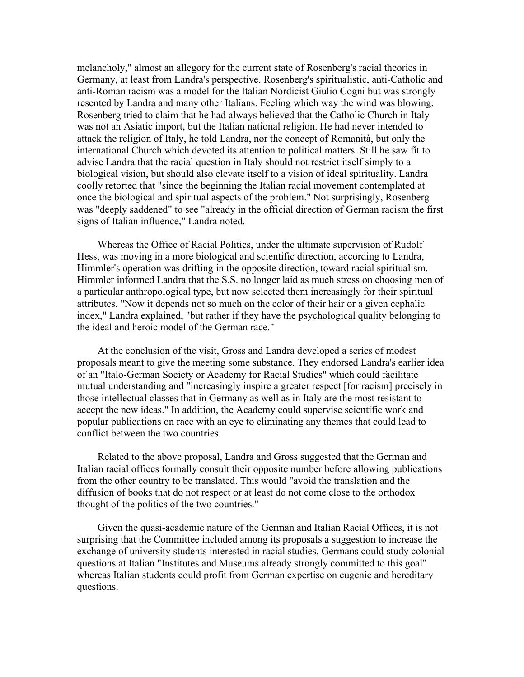melancholy," almost an allegory for the current state of Rosenberg's racial theories in Germany, at least from Landra's perspective. Rosenberg's spiritualistic, anti-Catholic and anti-Roman racism was a model for the Italian Nordicist Giulio Cogni but was strongly resented by Landra and many other Italians. Feeling which way the wind was blowing, Rosenberg tried to claim that he had always believed that the Catholic Church in Italy was not an Asiatic import, but the Italian national religion. He had never intended to attack the religion of Italy, he told Landra, nor the concept of Romanità, but only the international Church which devoted its attention to political matters. Still he saw fit to advise Landra that the racial question in Italy should not restrict itself simply to a biological vision, but should also elevate itself to a vision of ideal spirituality. Landra coolly retorted that "since the beginning the Italian racial movement contemplated at once the biological and spiritual aspects of the problem." Not surprisingly, Rosenberg was "deeply saddened" to see "already in the official direction of German racism the first signs of Italian influence," Landra noted.

 Whereas the Office of Racial Politics, under the ultimate supervision of Rudolf Hess, was moving in a more biological and scientific direction, according to Landra, Himmler's operation was drifting in the opposite direction, toward racial spiritualism. Himmler informed Landra that the S.S. no longer laid as much stress on choosing men of a particular anthropological type, but now selected them increasingly for their spiritual attributes. "Now it depends not so much on the color of their hair or a given cephalic index," Landra explained, "but rather if they have the psychological quality belonging to the ideal and heroic model of the German race."

 At the conclusion of the visit, Gross and Landra developed a series of modest proposals meant to give the meeting some substance. They endorsed Landra's earlier idea of an "Italo-German Society or Academy for Racial Studies" which could facilitate mutual understanding and "increasingly inspire a greater respect [for racism] precisely in those intellectual classes that in Germany as well as in Italy are the most resistant to accept the new ideas." In addition, the Academy could supervise scientific work and popular publications on race with an eye to eliminating any themes that could lead to conflict between the two countries.

 Related to the above proposal, Landra and Gross suggested that the German and Italian racial offices formally consult their opposite number before allowing publications from the other country to be translated. This would "avoid the translation and the diffusion of books that do not respect or at least do not come close to the orthodox thought of the politics of the two countries."

 Given the quasi-academic nature of the German and Italian Racial Offices, it is not surprising that the Committee included among its proposals a suggestion to increase the exchange of university students interested in racial studies. Germans could study colonial questions at Italian "Institutes and Museums already strongly committed to this goal" whereas Italian students could profit from German expertise on eugenic and hereditary questions.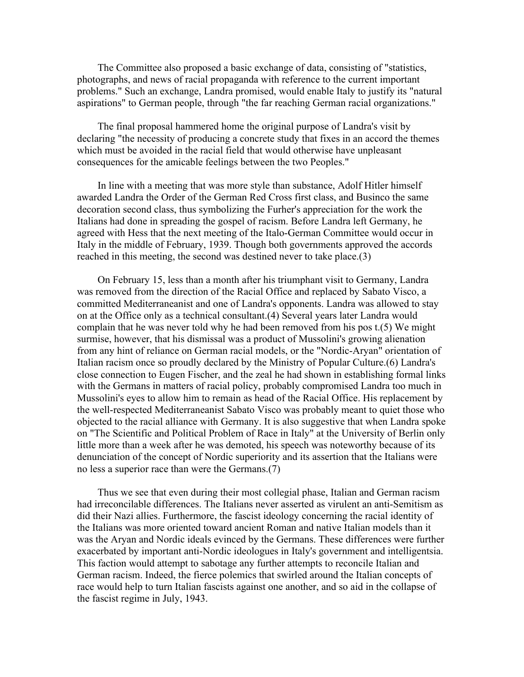The Committee also proposed a basic exchange of data, consisting of "statistics, photographs, and news of racial propaganda with reference to the current important problems." Such an exchange, Landra promised, would enable Italy to justify its "natural aspirations" to German people, through "the far reaching German racial organizations."

 The final proposal hammered home the original purpose of Landra's visit by declaring "the necessity of producing a concrete study that fixes in an accord the themes which must be avoided in the racial field that would otherwise have unpleasant consequences for the amicable feelings between the two Peoples."

 In line with a meeting that was more style than substance, Adolf Hitler himself awarded Landra the Order of the German Red Cross first class, and Businco the same decoration second class, thus symbolizing the Furher's appreciation for the work the Italians had done in spreading the gospel of racism. Before Landra left Germany, he agreed with Hess that the next meeting of the Italo-German Committee would occur in Italy in the middle of February, 1939. Though both governments approved the accords reached in this meeting, the second was destined never to take place.(3)

 On February 15, less than a month after his triumphant visit to Germany, Landra was removed from the direction of the Racial Office and replaced by Sabato Visco, a committed Mediterraneanist and one of Landra's opponents. Landra was allowed to stay on at the Office only as a technical consultant.(4) Several years later Landra would complain that he was never told why he had been removed from his pos t.(5) We might surmise, however, that his dismissal was a product of Mussolini's growing alienation from any hint of reliance on German racial models, or the "Nordic-Aryan" orientation of Italian racism once so proudly declared by the Ministry of Popular Culture.(6) Landra's close connection to Eugen Fischer, and the zeal he had shown in establishing formal links with the Germans in matters of racial policy, probably compromised Landra too much in Mussolini's eyes to allow him to remain as head of the Racial Office. His replacement by the well-respected Mediterraneanist Sabato Visco was probably meant to quiet those who objected to the racial alliance with Germany. It is also suggestive that when Landra spoke on "The Scientific and Political Problem of Race in Italy" at the University of Berlin only little more than a week after he was demoted, his speech was noteworthy because of its denunciation of the concept of Nordic superiority and its assertion that the Italians were no less a superior race than were the Germans.(7)

 Thus we see that even during their most collegial phase, Italian and German racism had irreconcilable differences. The Italians never asserted as virulent an anti-Semitism as did their Nazi allies. Furthermore, the fascist ideology concerning the racial identity of the Italians was more oriented toward ancient Roman and native Italian models than it was the Aryan and Nordic ideals evinced by the Germans. These differences were further exacerbated by important anti-Nordic ideologues in Italy's government and intelligentsia. This faction would attempt to sabotage any further attempts to reconcile Italian and German racism. Indeed, the fierce polemics that swirled around the Italian concepts of race would help to turn Italian fascists against one another, and so aid in the collapse of the fascist regime in July, 1943.